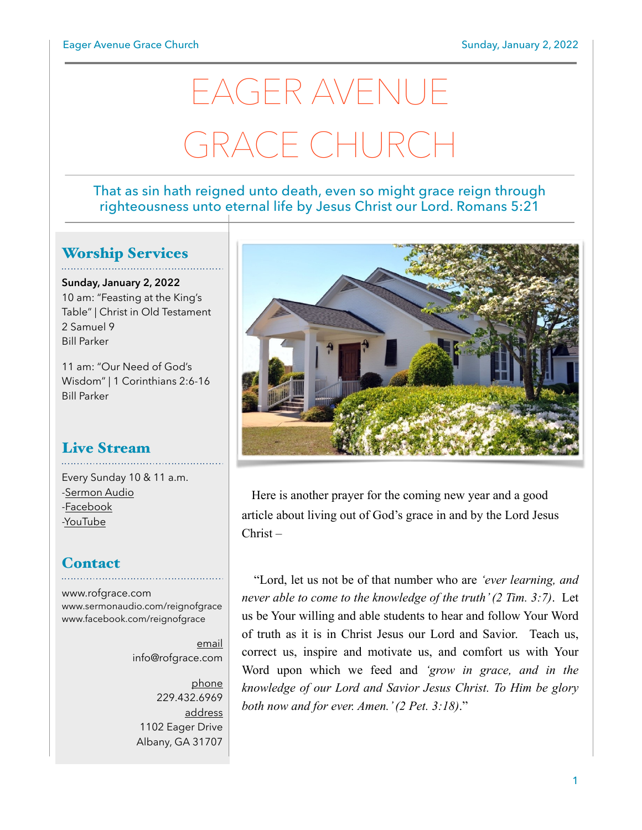# EAGER AVENUE GRACE CHURCI

#### That as sin hath reigned unto death, even so might grace reign through righteousness unto eternal life by Jesus Christ our Lord. Romans 5:21

## Worship Services

**Sunday, January 2, 2022** 10 am: "Feasting at the King's Table" | Christ in Old Testament 2 Samuel 9 Bill Parker

11 am: "Our Need of God's Wisdom" | 1 Corinthians 2:6-16 Bill Parker

# Live Stream

Every Sunday 10 & 11 a.m. [-Sermon Audio](http://sermonaudio.com/reignofgrace) [-Facebook](http://facebook.com/eageravechurch) [-YouTube](http://youtube.com/channel/UCu_lTHCIUOK0cka9AjFV_5Q/live)

### **Contact**

[www.rofgrace.com](http://www.rofgrace.com) [www.sermonaudio.com/reignofgrace](http://www.sermonaudio.com/reignofgrace) [www.facebook.com/reignofgrace](http://www.facebook.com/reignofgrace)

> email [info@rofgrace.com](mailto:info@rofgrace.com?subject=)

phone 229.432.6969 address 1102 Eager Drive Albany, GA 31707



 Here is another prayer for the coming new year and a good article about living out of God's grace in and by the Lord Jesus Christ –

 "Lord, let us not be of that number who are *'ever learning, and never able to come to the knowledge of the truth' (2 Tim. 3:7)*. Let us be Your willing and able students to hear and follow Your Word of truth as it is in Christ Jesus our Lord and Savior. Teach us, correct us, inspire and motivate us, and comfort us with Your Word upon which we feed and *'grow in grace, and in the knowledge of our Lord and Savior Jesus Christ. To Him be glory both now and for ever. Amen.' (2 Pet. 3:18)*."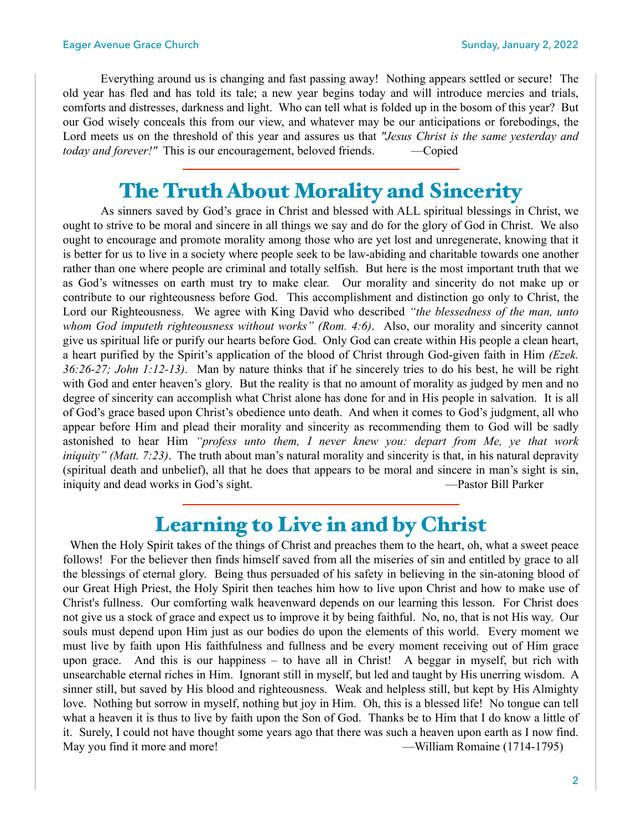Everything around us is changing and fast passing away! Nothing appears settled or secure! The old year has fled and has told its tale; a new year begins today and will introduce mercies and trials, comforts and distresses, darkness and light. Who can tell what is folded up in the bosom of this year? But our God wisely conceals this from our view, and whatever may be our anticipations or forebodings, the Lord meets us on the threshold of this year and assures us that *"Jesus Christ is the same yesterday and today and forever!"* This is our encouragement, beloved friends. —Copied

## The Truth About Morality and Sincerity

 As sinners saved by God's grace in Christ and blessed with ALL spiritual blessings in Christ, we ought to strive to be moral and sincere in all things we say and do for the glory of God in Christ. We also ought to encourage and promote morality among those who are yet lost and unregenerate, knowing that it is better for us to live in a society where people seek to be law-abiding and charitable towards one another rather than one where people are criminal and totally selfish. But here is the most important truth that we as God's witnesses on earth must try to make clear. Our morality and sincerity do not make up or contribute to our righteousness before God. This accomplishment and distinction go only to Christ, the Lord our Righteousness. We agree with King David who described *"the blessedness of the man, unto whom God imputeth righteousness without works" (Rom. 4:6)*. Also, our morality and sincerity cannot give us spiritual life or purify our hearts before God. Only God can create within His people a clean heart, a heart purified by the Spirit's application of the blood of Christ through God-given faith in Him *(Ezek. 36:26-27; John 1:12-13)*. Man by nature thinks that if he sincerely tries to do his best, he will be right with God and enter heaven's glory. But the reality is that no amount of morality as judged by men and no degree of sincerity can accomplish what Christ alone has done for and in His people in salvation. It is all of God's grace based upon Christ's obedience unto death. And when it comes to God's judgment, all who appear before Him and plead their morality and sincerity as recommending them to God will be sadly astonished to hear Him *"profess unto them, I never knew you: depart from Me, ye that work iniquity" (Matt. 7:23)*. The truth about man's natural morality and sincerity is that, in his natural depravity (spiritual death and unbelief), all that he does that appears to be moral and sincere in man's sight is sin, iniquity and dead works in God's sight. The same state of the pastor Bill Parker

## Learning to Live in and by Christ

When the Holy Spirit takes of the things of Christ and preaches them to the heart, oh, what a sweet peace follows! For the believer then finds himself saved from all the miseries of sin and entitled by grace to all the blessings of eternal glory. Being thus persuaded of his safety in believing in the sin-atoning blood of our Great High Priest, the Holy Spirit then teaches him how to live upon Christ and how to make use of Christ's fullness. Our comforting walk heavenward depends on our learning this lesson. For Christ does not give us a stock of grace and expect us to improve it by being faithful. No, no, that is not His way. Our souls must depend upon Him just as our bodies do upon the elements of this world. Every moment we must live by faith upon His faithfulness and fullness and be every moment receiving out of Him grace upon grace. And this is our happiness – to have all in Christ! A beggar in myself, but rich with unsearchable eternal riches in Him. Ignorant still in myself, but led and taught by His unerring wisdom. A sinner still, but saved by His blood and righteousness. Weak and helpless still, but kept by His Almighty love. Nothing but sorrow in myself, nothing but joy in Him. Oh, this is a blessed life! No tongue can tell what a heaven it is thus to live by faith upon the Son of God. Thanks be to Him that I do know a little of it. Surely, I could not have thought some years ago that there was such a heaven upon earth as I now find. May you find it more and more! —William Romaine (1714-1795)